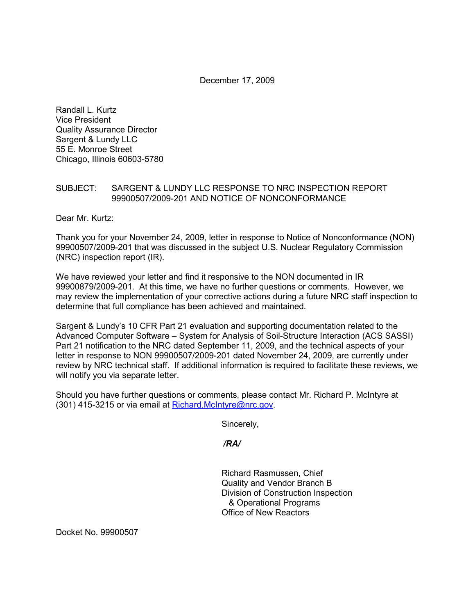December 17, 2009

Randall L. Kurtz Vice President Quality Assurance Director Sargent & Lundy LLC 55 E. Monroe Street Chicago, Illinois 60603-5780

## SUBJECT: SARGENT & LUNDY LLC RESPONSE TO NRC INSPECTION REPORT 99900507/2009-201 AND NOTICE OF NONCONFORMANCE

Dear Mr. Kurtz:

Thank you for your November 24, 2009, letter in response to Notice of Nonconformance (NON) 99900507/2009-201 that was discussed in the subject U.S. Nuclear Regulatory Commission (NRC) inspection report (IR).

We have reviewed your letter and find it responsive to the NON documented in IR 99900879/2009-201. At this time, we have no further questions or comments. However, we may review the implementation of your corrective actions during a future NRC staff inspection to determine that full compliance has been achieved and maintained.

Sargent & Lundy's 10 CFR Part 21 evaluation and supporting documentation related to the Advanced Computer Software – System for Analysis of Soil-Structure Interaction (ACS SASSI) Part 21 notification to the NRC dated September 11, 2009, and the technical aspects of your letter in response to NON 99900507/2009-201 dated November 24, 2009, are currently under review by NRC technical staff. If additional information is required to facilitate these reviews, we will notify you via separate letter.

Should you have further questions or comments, please contact Mr. Richard P. McIntyre at (301) 415-3215 or via email at Richard.McIntyre@nrc.gov.

Sincerely,

 */RA/* 

Richard Rasmussen, Chief Quality and Vendor Branch B Division of Construction Inspection & Operational Programs Office of New Reactors

Docket No. 99900507